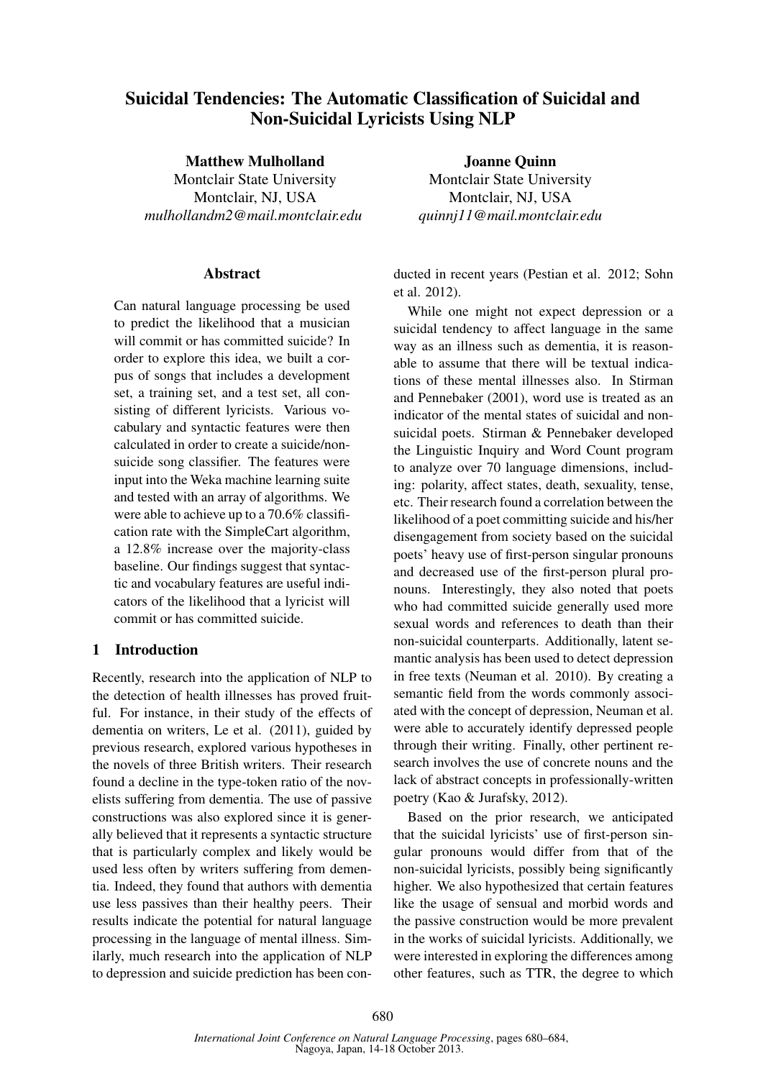# Suicidal Tendencies: The Automatic Classification of Suicidal and Non-Suicidal Lyricists Using NLP

Matthew Mulholland

Montclair State University Montclair, NJ, USA *mulhollandm2@mail.montclair.edu*

#### Abstract

Can natural language processing be used to predict the likelihood that a musician will commit or has committed suicide? In order to explore this idea, we built a corpus of songs that includes a development set, a training set, and a test set, all consisting of different lyricists. Various vocabulary and syntactic features were then calculated in order to create a suicide/nonsuicide song classifier. The features were input into the Weka machine learning suite and tested with an array of algorithms. We were able to achieve up to a 70.6% classification rate with the SimpleCart algorithm, a 12.8% increase over the majority-class baseline. Our findings suggest that syntactic and vocabulary features are useful indicators of the likelihood that a lyricist will commit or has committed suicide.

## 1 Introduction

Recently, research into the application of NLP to the detection of health illnesses has proved fruitful. For instance, in their study of the effects of dementia on writers, Le et al. (2011), guided by previous research, explored various hypotheses in the novels of three British writers. Their research found a decline in the type-token ratio of the novelists suffering from dementia. The use of passive constructions was also explored since it is generally believed that it represents a syntactic structure that is particularly complex and likely would be used less often by writers suffering from dementia. Indeed, they found that authors with dementia use less passives than their healthy peers. Their results indicate the potential for natural language processing in the language of mental illness. Similarly, much research into the application of NLP to depression and suicide prediction has been con-

Joanne Quinn Montclair State University Montclair, NJ, USA *quinnj11@mail.montclair.edu*

ducted in recent years (Pestian et al. 2012; Sohn et al. 2012).

While one might not expect depression or a suicidal tendency to affect language in the same way as an illness such as dementia, it is reasonable to assume that there will be textual indications of these mental illnesses also. In Stirman and Pennebaker (2001), word use is treated as an indicator of the mental states of suicidal and nonsuicidal poets. Stirman & Pennebaker developed the Linguistic Inquiry and Word Count program to analyze over 70 language dimensions, including: polarity, affect states, death, sexuality, tense, etc. Their research found a correlation between the likelihood of a poet committing suicide and his/her disengagement from society based on the suicidal poets' heavy use of first-person singular pronouns and decreased use of the first-person plural pronouns. Interestingly, they also noted that poets who had committed suicide generally used more sexual words and references to death than their non-suicidal counterparts. Additionally, latent semantic analysis has been used to detect depression in free texts (Neuman et al. 2010). By creating a semantic field from the words commonly associated with the concept of depression, Neuman et al. were able to accurately identify depressed people through their writing. Finally, other pertinent research involves the use of concrete nouns and the lack of abstract concepts in professionally-written poetry (Kao & Jurafsky, 2012).

Based on the prior research, we anticipated that the suicidal lyricists' use of first-person singular pronouns would differ from that of the non-suicidal lyricists, possibly being significantly higher. We also hypothesized that certain features like the usage of sensual and morbid words and the passive construction would be more prevalent in the works of suicidal lyricists. Additionally, we were interested in exploring the differences among other features, such as TTR, the degree to which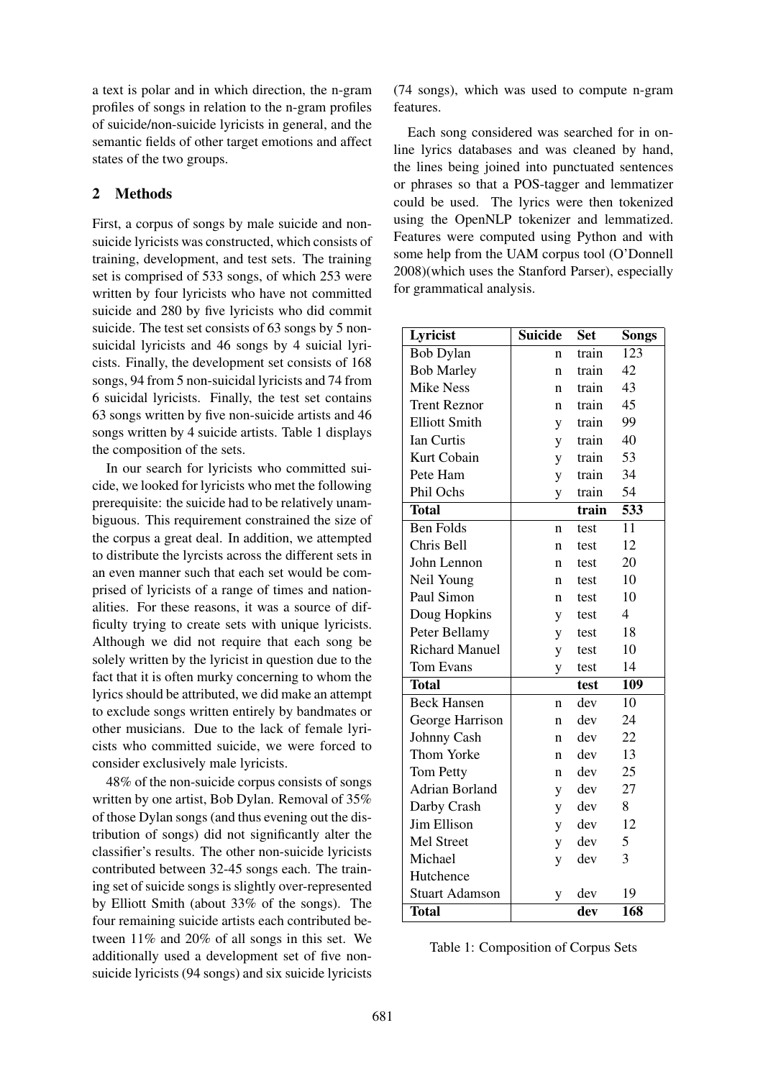a text is polar and in which direction, the n-gram profiles of songs in relation to the n-gram profiles of suicide/non-suicide lyricists in general, and the semantic fields of other target emotions and affect states of the two groups.

## 2 Methods

First, a corpus of songs by male suicide and nonsuicide lyricists was constructed, which consists of training, development, and test sets. The training set is comprised of 533 songs, of which 253 were written by four lyricists who have not committed suicide and 280 by five lyricists who did commit suicide. The test set consists of 63 songs by 5 nonsuicidal lyricists and 46 songs by 4 suicial lyricists. Finally, the development set consists of 168 songs, 94 from 5 non-suicidal lyricists and 74 from 6 suicidal lyricists. Finally, the test set contains 63 songs written by five non-suicide artists and 46 songs written by 4 suicide artists. Table 1 displays the composition of the sets.

In our search for lyricists who committed suicide, we looked for lyricists who met the following prerequisite: the suicide had to be relatively unambiguous. This requirement constrained the size of the corpus a great deal. In addition, we attempted to distribute the lyrcists across the different sets in an even manner such that each set would be comprised of lyricists of a range of times and nationalities. For these reasons, it was a source of difficulty trying to create sets with unique lyricists. Although we did not require that each song be solely written by the lyricist in question due to the fact that it is often murky concerning to whom the lyrics should be attributed, we did make an attempt to exclude songs written entirely by bandmates or other musicians. Due to the lack of female lyricists who committed suicide, we were forced to consider exclusively male lyricists.

48% of the non-suicide corpus consists of songs written by one artist, Bob Dylan. Removal of 35% of those Dylan songs (and thus evening out the distribution of songs) did not significantly alter the classifier's results. The other non-suicide lyricists contributed between 32-45 songs each. The training set of suicide songs is slightly over-represented by Elliott Smith (about 33% of the songs). The four remaining suicide artists each contributed between 11% and 20% of all songs in this set. We additionally used a development set of five nonsuicide lyricists (94 songs) and six suicide lyricists (74 songs), which was used to compute n-gram features.

Each song considered was searched for in online lyrics databases and was cleaned by hand, the lines being joined into punctuated sentences or phrases so that a POS-tagger and lemmatizer could be used. The lyrics were then tokenized using the OpenNLP tokenizer and lemmatized. Features were computed using Python and with some help from the UAM corpus tool (O'Donnell 2008)(which uses the Stanford Parser), especially for grammatical analysis.

| Lyricist              | <b>Suicide</b> | <b>Set</b> | Songs                    |
|-----------------------|----------------|------------|--------------------------|
| <b>Bob Dylan</b>      | n              | train      | 123                      |
| <b>Bob Marley</b>     | n              | train      | 42                       |
| <b>Mike Ness</b>      | n              | train      | 43                       |
| <b>Trent Reznor</b>   | n              | train      | 45                       |
| <b>Elliott Smith</b>  | y              | train      | 99                       |
| <b>Ian Curtis</b>     | y              | train      | 40                       |
| Kurt Cobain           | y              | train      | 53                       |
| Pete Ham              | y              | train      | 34                       |
| Phil Ochs             | y              | train      | 54                       |
| <b>Total</b>          |                | train      | 533                      |
| <b>Ben Folds</b>      | n              | test       | 11                       |
| Chris Bell            | n              | test       | 12                       |
| John Lennon           | n              | test       | 20                       |
| Neil Young            | n              | test       | 10                       |
| Paul Simon            | n              | test       | 10                       |
| Doug Hopkins          | y              | test       | $\overline{\mathcal{A}}$ |
| Peter Bellamy         | y              | test       | 18                       |
| <b>Richard Manuel</b> | y              | test       | 10                       |
| Tom Evans             | y              | test       | 14                       |
| <b>Total</b>          |                | test       | 109                      |
| <b>Beck Hansen</b>    | n              | dev        | 10                       |
| George Harrison       | n              | dev        | 24                       |
| Johnny Cash           | n              | dev        | 22                       |
| Thom Yorke            | n              | dev        | 13                       |
| Tom Petty             | n              | dev        | 25                       |
| <b>Adrian Borland</b> | y              | dev        | 27                       |
| Darby Crash           | y              | dev        | 8                        |
| Jim Ellison           | y              | dev        | 12                       |
| Mel Street            | y              | dev        | 5                        |
| Michael               | y              | dev        | 3                        |
| Hutchence             |                |            |                          |
| <b>Stuart Adamson</b> | y              | dev        | 19                       |
| <b>Total</b>          |                | dev        | 168                      |

|  |  | Table 1: Composition of Corpus Sets |  |  |
|--|--|-------------------------------------|--|--|
|--|--|-------------------------------------|--|--|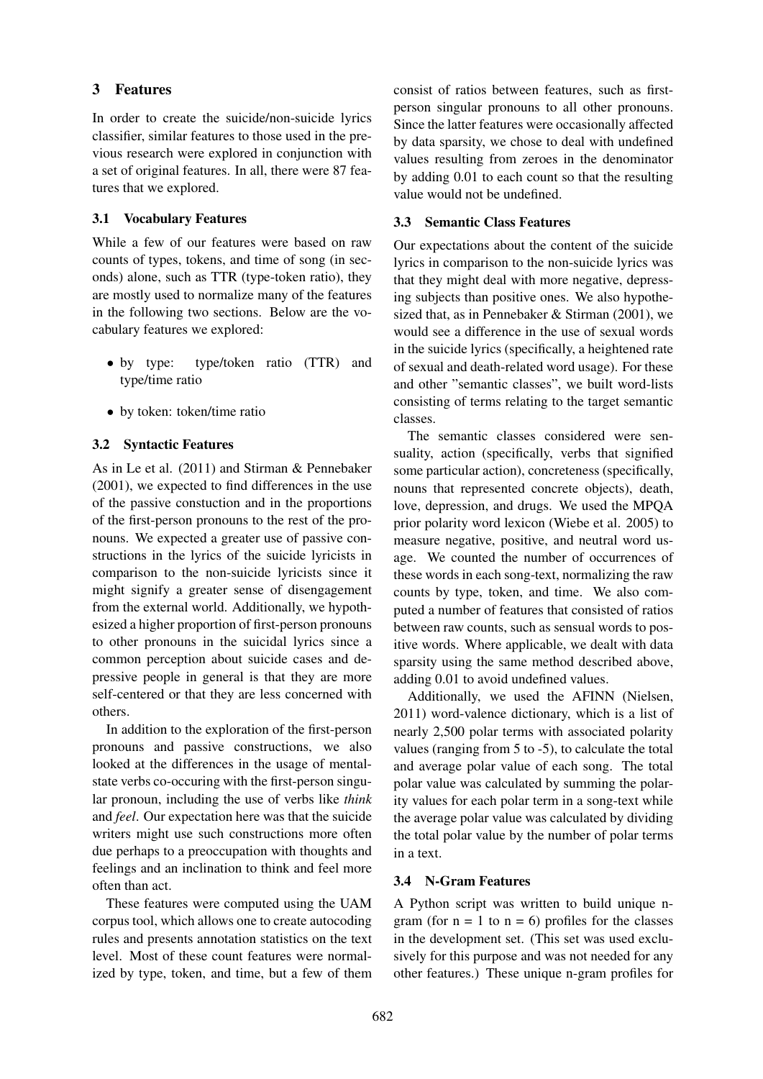## 3 Features

In order to create the suicide/non-suicide lyrics classifier, similar features to those used in the previous research were explored in conjunction with a set of original features. In all, there were 87 features that we explored.

#### 3.1 Vocabulary Features

While a few of our features were based on raw counts of types, tokens, and time of song (in seconds) alone, such as TTR (type-token ratio), they are mostly used to normalize many of the features in the following two sections. Below are the vocabulary features we explored:

- by type: type/token ratio (TTR) and type/time ratio
- by token: token/time ratio

## 3.2 Syntactic Features

As in Le et al. (2011) and Stirman & Pennebaker (2001), we expected to find differences in the use of the passive constuction and in the proportions of the first-person pronouns to the rest of the pronouns. We expected a greater use of passive constructions in the lyrics of the suicide lyricists in comparison to the non-suicide lyricists since it might signify a greater sense of disengagement from the external world. Additionally, we hypothesized a higher proportion of first-person pronouns to other pronouns in the suicidal lyrics since a common perception about suicide cases and depressive people in general is that they are more self-centered or that they are less concerned with others.

In addition to the exploration of the first-person pronouns and passive constructions, we also looked at the differences in the usage of mentalstate verbs co-occuring with the first-person singular pronoun, including the use of verbs like *think* and *feel*. Our expectation here was that the suicide writers might use such constructions more often due perhaps to a preoccupation with thoughts and feelings and an inclination to think and feel more often than act.

These features were computed using the UAM corpus tool, which allows one to create autocoding rules and presents annotation statistics on the text level. Most of these count features were normalized by type, token, and time, but a few of them consist of ratios between features, such as firstperson singular pronouns to all other pronouns. Since the latter features were occasionally affected by data sparsity, we chose to deal with undefined values resulting from zeroes in the denominator by adding 0.01 to each count so that the resulting value would not be undefined.

#### 3.3 Semantic Class Features

Our expectations about the content of the suicide lyrics in comparison to the non-suicide lyrics was that they might deal with more negative, depressing subjects than positive ones. We also hypothesized that, as in Pennebaker & Stirman (2001), we would see a difference in the use of sexual words in the suicide lyrics (specifically, a heightened rate of sexual and death-related word usage). For these and other "semantic classes", we built word-lists consisting of terms relating to the target semantic classes.

The semantic classes considered were sensuality, action (specifically, verbs that signified some particular action), concreteness (specifically, nouns that represented concrete objects), death, love, depression, and drugs. We used the MPQA prior polarity word lexicon (Wiebe et al. 2005) to measure negative, positive, and neutral word usage. We counted the number of occurrences of these words in each song-text, normalizing the raw counts by type, token, and time. We also computed a number of features that consisted of ratios between raw counts, such as sensual words to positive words. Where applicable, we dealt with data sparsity using the same method described above, adding 0.01 to avoid undefined values.

Additionally, we used the AFINN (Nielsen, 2011) word-valence dictionary, which is a list of nearly 2,500 polar terms with associated polarity values (ranging from 5 to -5), to calculate the total and average polar value of each song. The total polar value was calculated by summing the polarity values for each polar term in a song-text while the average polar value was calculated by dividing the total polar value by the number of polar terms in a text.

#### 3.4 N-Gram Features

A Python script was written to build unique ngram (for  $n = 1$  to  $n = 6$ ) profiles for the classes in the development set. (This set was used exclusively for this purpose and was not needed for any other features.) These unique n-gram profiles for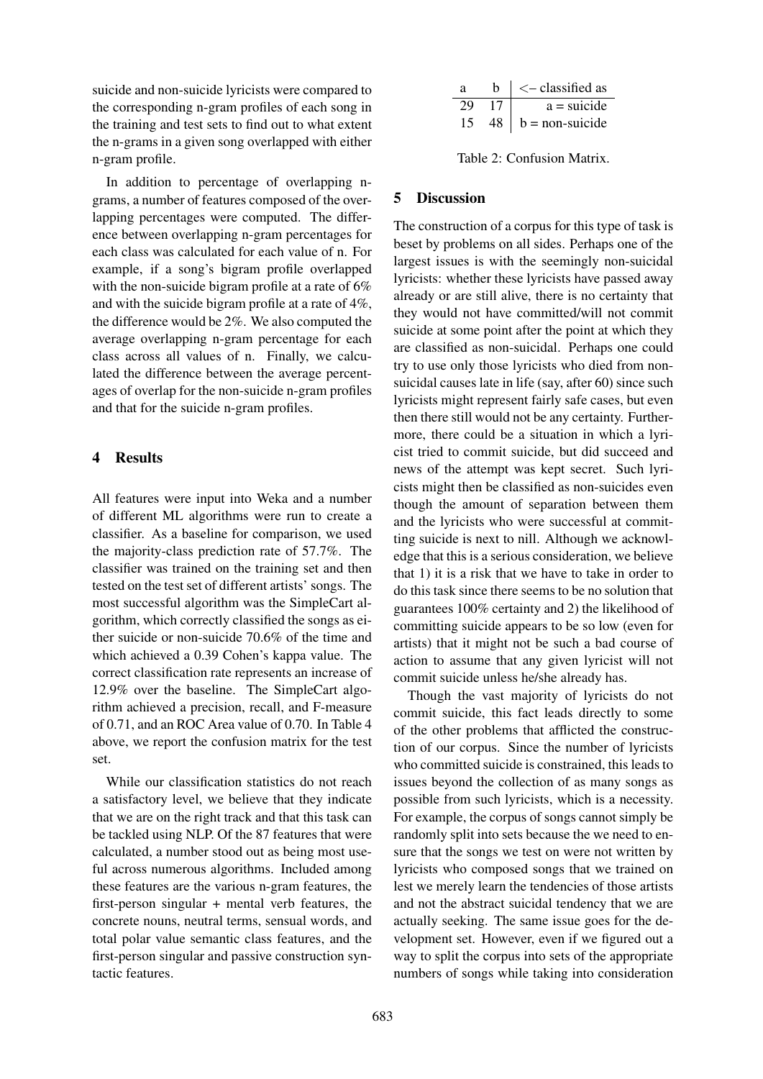suicide and non-suicide lyricists were compared to the corresponding n-gram profiles of each song in the training and test sets to find out to what extent the n-grams in a given song overlapped with either n-gram profile.

In addition to percentage of overlapping ngrams, a number of features composed of the overlapping percentages were computed. The difference between overlapping n-gram percentages for each class was calculated for each value of n. For example, if a song's bigram profile overlapped with the non-suicide bigram profile at a rate of 6% and with the suicide bigram profile at a rate of 4%, the difference would be 2%. We also computed the average overlapping n-gram percentage for each class across all values of n. Finally, we calculated the difference between the average percentages of overlap for the non-suicide n-gram profiles and that for the suicide n-gram profiles.

## 4 Results

All features were input into Weka and a number of different ML algorithms were run to create a classifier. As a baseline for comparison, we used the majority-class prediction rate of 57.7%. The classifier was trained on the training set and then tested on the test set of different artists' songs. The most successful algorithm was the SimpleCart algorithm, which correctly classified the songs as either suicide or non-suicide 70.6% of the time and which achieved a 0.39 Cohen's kappa value. The correct classification rate represents an increase of 12.9% over the baseline. The SimpleCart algorithm achieved a precision, recall, and F-measure of 0.71, and an ROC Area value of 0.70. In Table 4 above, we report the confusion matrix for the test set.

While our classification statistics do not reach a satisfactory level, we believe that they indicate that we are on the right track and that this task can be tackled using NLP. Of the 87 features that were calculated, a number stood out as being most useful across numerous algorithms. Included among these features are the various n-gram features, the first-person singular + mental verb features, the concrete nouns, neutral terms, sensual words, and total polar value semantic class features, and the first-person singular and passive construction syntactic features.

| a |      | $\operatorname{\!<\!}-$ classified as |
|---|------|---------------------------------------|
|   | 17   | $a = suicide$                         |
|   | 48 I | $b = non-suicide$                     |

Table 2: Confusion Matrix.

#### 5 Discussion

The construction of a corpus for this type of task is beset by problems on all sides. Perhaps one of the largest issues is with the seemingly non-suicidal lyricists: whether these lyricists have passed away already or are still alive, there is no certainty that they would not have committed/will not commit suicide at some point after the point at which they are classified as non-suicidal. Perhaps one could try to use only those lyricists who died from nonsuicidal causes late in life (say, after 60) since such lyricists might represent fairly safe cases, but even then there still would not be any certainty. Furthermore, there could be a situation in which a lyricist tried to commit suicide, but did succeed and news of the attempt was kept secret. Such lyricists might then be classified as non-suicides even though the amount of separation between them and the lyricists who were successful at committing suicide is next to nill. Although we acknowledge that this is a serious consideration, we believe that 1) it is a risk that we have to take in order to do this task since there seems to be no solution that guarantees 100% certainty and 2) the likelihood of committing suicide appears to be so low (even for artists) that it might not be such a bad course of action to assume that any given lyricist will not commit suicide unless he/she already has.

Though the vast majority of lyricists do not commit suicide, this fact leads directly to some of the other problems that afflicted the construction of our corpus. Since the number of lyricists who committed suicide is constrained, this leads to issues beyond the collection of as many songs as possible from such lyricists, which is a necessity. For example, the corpus of songs cannot simply be randomly split into sets because the we need to ensure that the songs we test on were not written by lyricists who composed songs that we trained on lest we merely learn the tendencies of those artists and not the abstract suicidal tendency that we are actually seeking. The same issue goes for the development set. However, even if we figured out a way to split the corpus into sets of the appropriate numbers of songs while taking into consideration